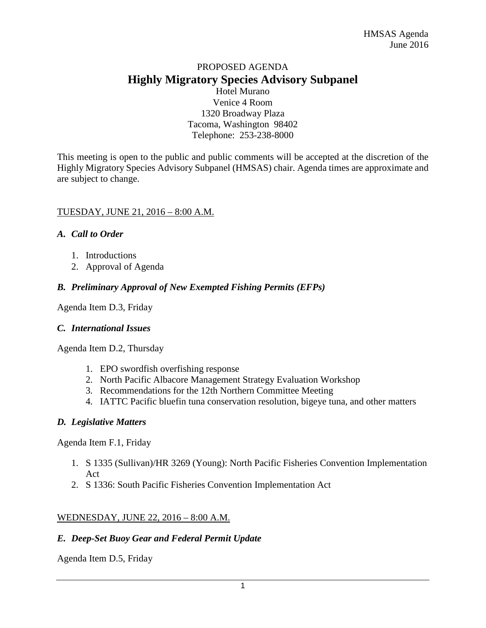## PROPOSED AGENDA **Highly Migratory Species Advisory Subpanel**

Hotel Murano Venice 4 Room 1320 Broadway Plaza Tacoma, Washington 98402 Telephone: 253-238-8000

This meeting is open to the public and public comments will be accepted at the discretion of the Highly Migratory Species Advisory Subpanel (HMSAS) chair. Agenda times are approximate and are subject to change.

### TUESDAY, JUNE 21, 2016 – 8:00 A.M.

### *A. Call to Order*

- 1. Introductions
- 2. Approval of Agenda

### *B. Preliminary Approval of New Exempted Fishing Permits (EFPs)*

Agenda Item D.3, Friday

### *C. International Issues*

Agenda Item D.2, Thursday

- 1. EPO swordfish overfishing response
- 2. North Pacific Albacore Management Strategy Evaluation Workshop
- 3. Recommendations for the 12th Northern Committee Meeting
- 4. IATTC Pacific bluefin tuna conservation resolution, bigeye tuna, and other matters

### *D. Legislative Matters*

Agenda Item F.1, Friday

- 1. S 1335 (Sullivan)/HR 3269 (Young): North Pacific Fisheries Convention Implementation Act
- 2. S 1336: South Pacific Fisheries Convention Implementation Act

### WEDNESDAY, JUNE 22, 2016 – 8:00 A.M.

### *E. Deep-Set Buoy Gear and Federal Permit Update*

Agenda Item D.5, Friday